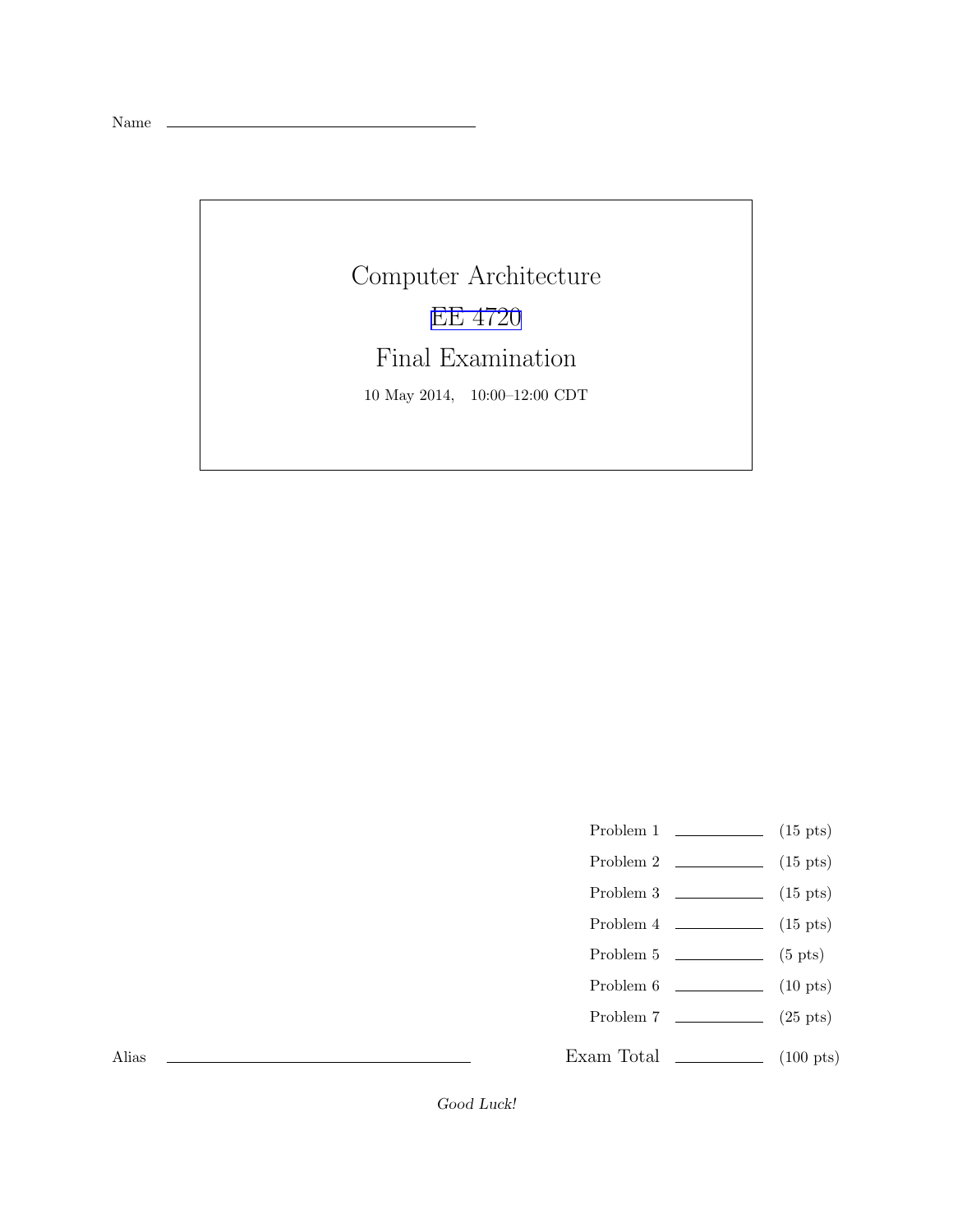Name

Computer Architecture [EE 4720](http://www.ece.lsu.edu/ee4720/) Final Examination 10 May 2014, 10:00–12:00 CDT

- Problem 1  $\qquad \qquad$  (15 pts)
- Problem 2  $\qquad \qquad$  (15 pts)
- Problem 3 (15 pts)
- Problem  $4 \t\t(15 \text{ pts})$
- Problem  $5 \t\t(5 pts)$
- Problem 6 (10 pts)
- Problem 7 (25 pts)
- 

Exam Total \_\_\_\_\_\_\_\_\_\_\_\_\_ (100 pts)

Alias

Good Luck!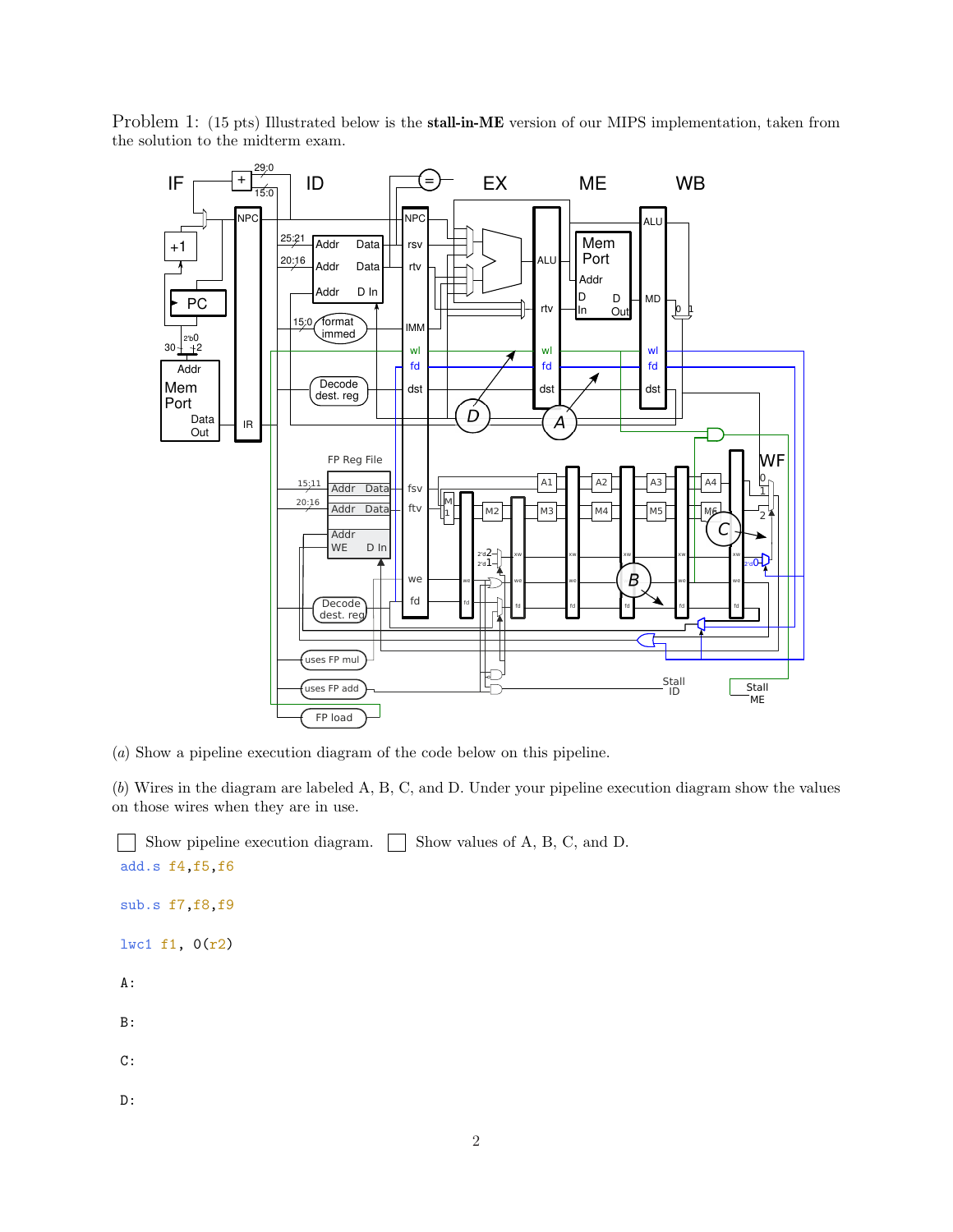

Problem 1: (15 pts) Illustrated below is the stall-in-ME version of our MIPS implementation, taken from the solution to the midterm exam.

(a) Show a pipeline execution diagram of the code below on this pipeline.

(b) Wires in the diagram are labeled A, B, C, and D. Under your pipeline execution diagram show the values on those wires when they are in use.

```
Show pipeline execution diagram. \Box Show values of A, B, C, and D.
add.s f4,f5,f6
sub.s f7,f8,f9
lwc1 f1, 0(r2)
A:
B:
C:
D:
```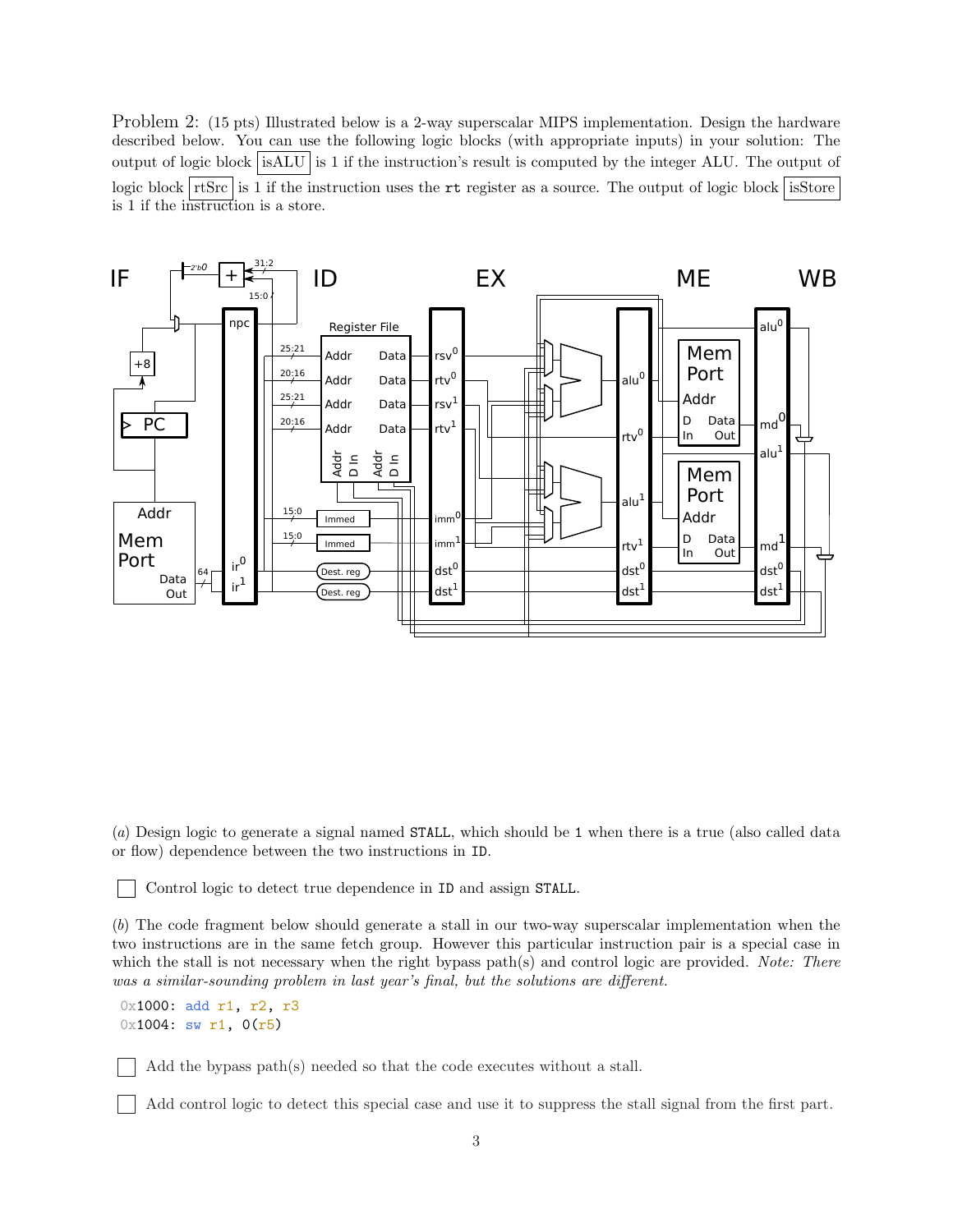Problem 2: (15 pts) Illustrated below is a 2-way superscalar MIPS implementation. Design the hardware described below. You can use the following logic blocks (with appropriate inputs) in your solution: The output of logic block isALU is 1 if the instruction's result is computed by the integer ALU. The output of logic block rtSrc is 1 if the instruction uses the rt register as a source. The output of logic block isStore is 1 if the instruction is a store.



(a) Design logic to generate a signal named STALL, which should be 1 when there is a true (also called data or flow) dependence between the two instructions in ID.

Control logic to detect true dependence in ID and assign STALL.

(b) The code fragment below should generate a stall in our two-way superscalar implementation when the two instructions are in the same fetch group. However this particular instruction pair is a special case in which the stall is not necessary when the right bypass path(s) and control logic are provided. Note: There was a similar-sounding problem in last year's final, but the solutions are different.

```
0x1000: add r1, r2, r3
0x1004: sw r1, 0(r5)
```
Add the bypass path(s) needed so that the code executes without a stall.

Add control logic to detect this special case and use it to suppress the stall signal from the first part.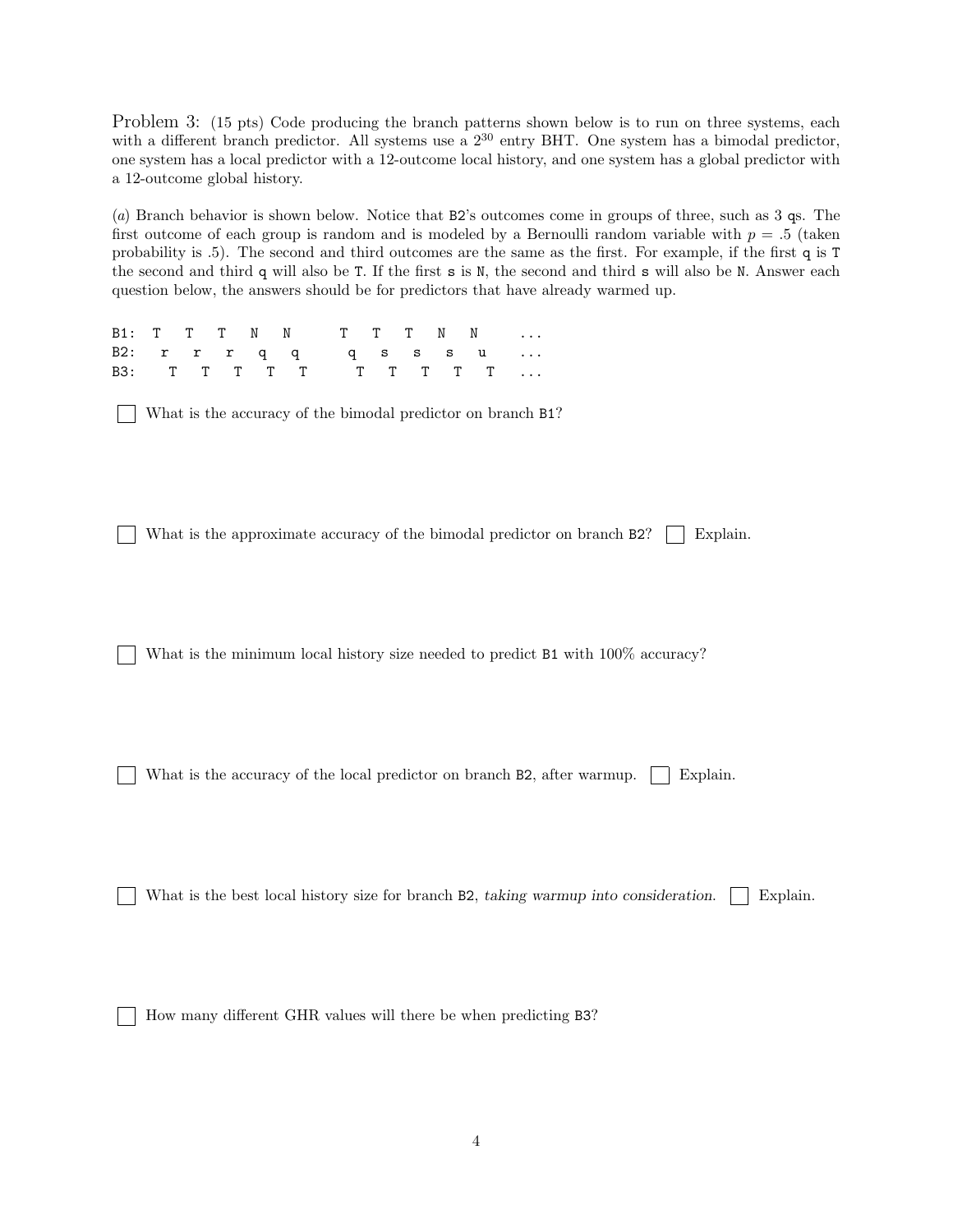Problem 3: (15 pts) Code producing the branch patterns shown below is to run on three systems, each with a different branch predictor. All systems use a  $2^{30}$  entry BHT. One system has a bimodal predictor. one system has a local predictor with a 12-outcome local history, and one system has a global predictor with a 12-outcome global history.

(a) Branch behavior is shown below. Notice that B2's outcomes come in groups of three, such as 3 qs. The first outcome of each group is random and is modeled by a Bernoulli random variable with  $p = .5$  (taken probability is .5). The second and third outcomes are the same as the first. For example, if the first q is T the second and third q will also be T. If the first s is N, the second and third s will also be N. Answer each question below, the answers should be for predictors that have already warmed up.

|  |  |  |  |  |  | B1: T T T N N T T T N N   |
|--|--|--|--|--|--|---------------------------|
|  |  |  |  |  |  | B2: r r r q q q s s s u   |
|  |  |  |  |  |  | B3: T T T T T T T T T T T |

What is the accuracy of the bimodal predictor on branch B1?

What is the approximate accuracy of the bimodal predictor on branch  $B2$ ? Explain.

What is the minimum local history size needed to predict B1 with  $100\%$  accuracy?

What is the accuracy of the local predictor on branch B2, after warmup. | Explain.

What is the best local history size for branch B2, taking warmup into consideration. | Explain.

How many different GHR values will there be when predicting B3?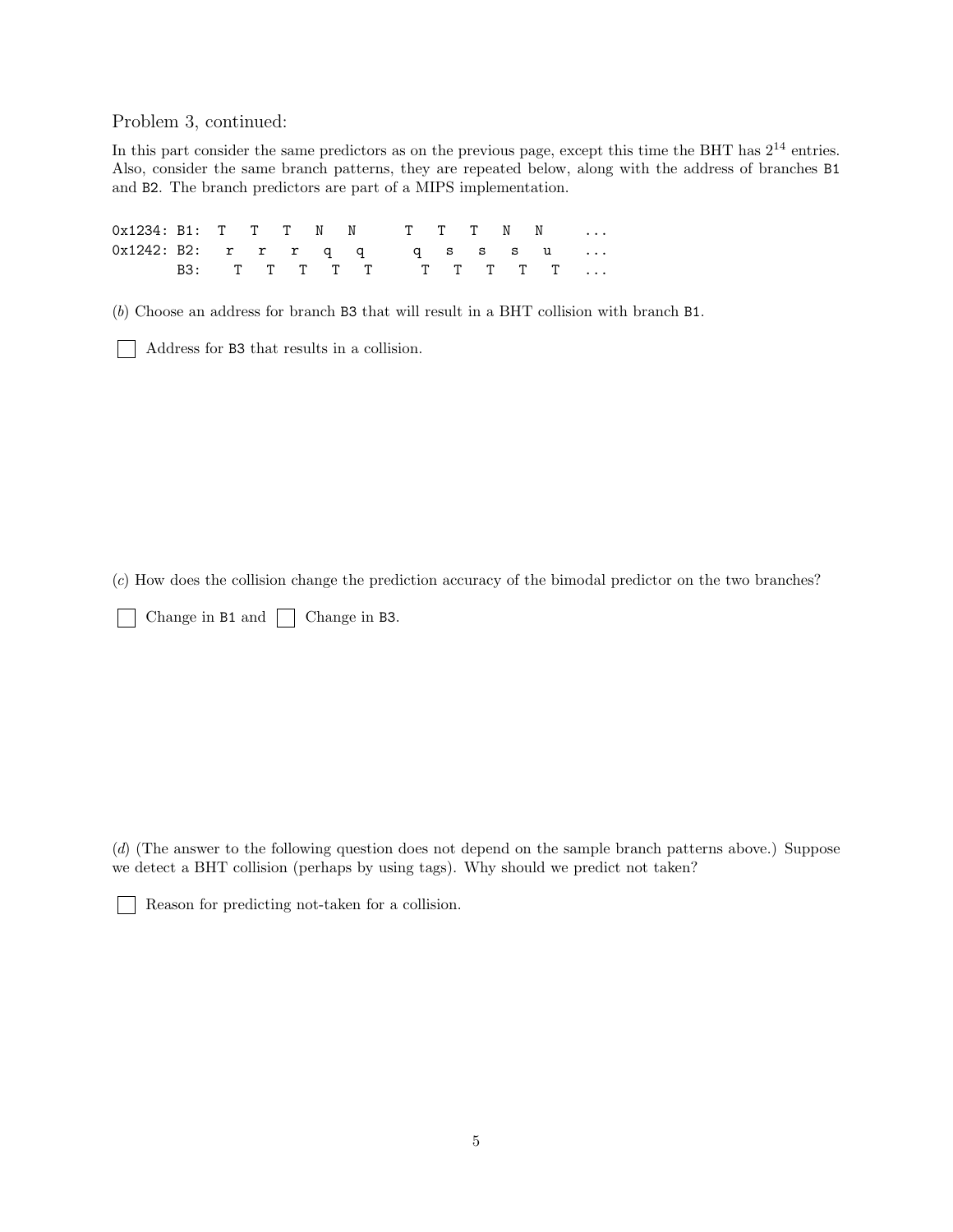Problem 3, continued:

In this part consider the same predictors as on the previous page, except this time the BHT has  $2^{14}$  entries. Also, consider the same branch patterns, they are repeated below, along with the address of branches B1 and B2. The branch predictors are part of a MIPS implementation.

| 0x1234: B1: T T T N N T T T N N |                         |  |  |  |  |  |  |
|---------------------------------|-------------------------|--|--|--|--|--|--|
| 0x1242: B2: r r r q q q s s s u |                         |  |  |  |  |  |  |
|                                 | B3: T T T T T T T T T T |  |  |  |  |  |  |

(b) Choose an address for branch B3 that will result in a BHT collision with branch B1.

Address for B3 that results in a collision.

(c) How does the collision change the prediction accuracy of the bimodal predictor on the two branches?

 $\Box$  Change in B1 and  $\Box$  Change in B3.

(d) (The answer to the following question does not depend on the sample branch patterns above.) Suppose we detect a BHT collision (perhaps by using tags). Why should we predict not taken?

 $\mathbf{L}$ 

Reason for predicting not-taken for a collision.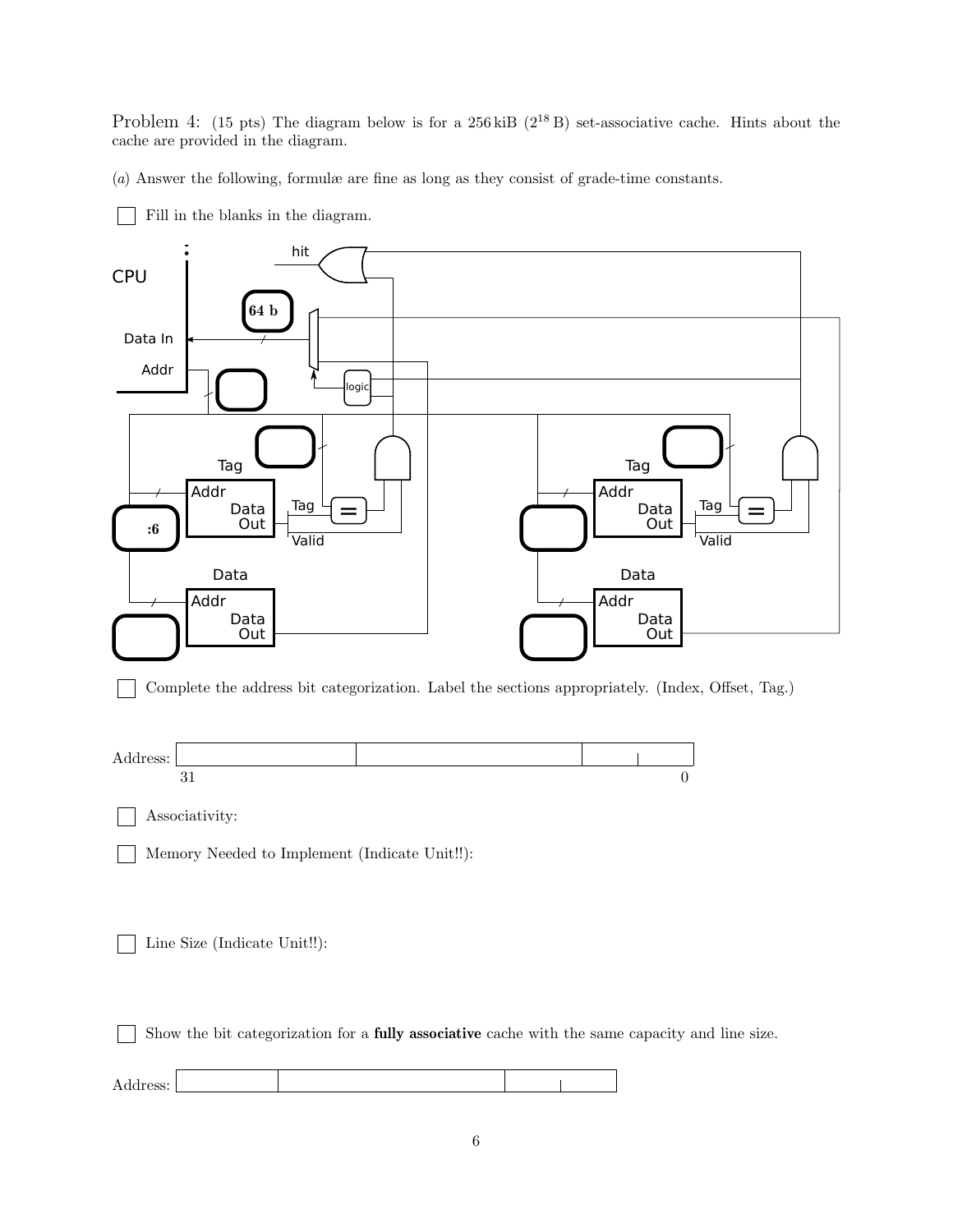Problem 4: (15 pts) The diagram below is for a  $256 \text{ kiB}$  ( $2^{18}$  B) set-associative cache. Hints about the cache are provided in the diagram.

(a) Answer the following, formulæ are fine as long as they consist of grade-time constants.



6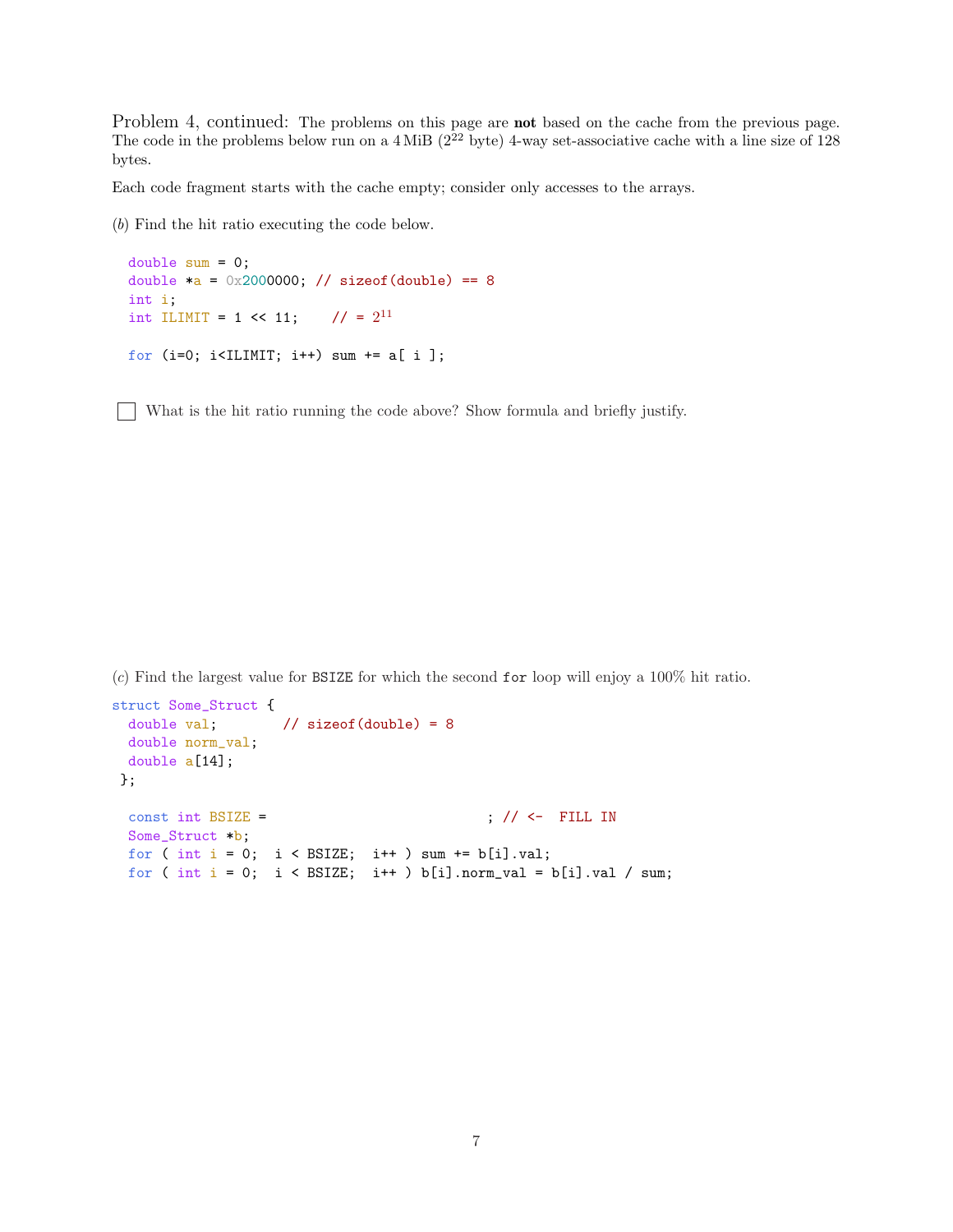Problem 4, continued: The problems on this page are **not** based on the cache from the previous page. The code in the problems below run on a  $4 \text{ MiB}$  ( $2^{22}$  byte) 4-way set-associative cache with a line size of 128 bytes.

Each code fragment starts with the cache empty; consider only accesses to the arrays.

(b) Find the hit ratio executing the code below.

```
double sum = 0;
double a = 0x2000000; // sizeof(double) == 8
int i;
int ILIMIT = 1 << 11; // = 2^{11}for (i=0; i<ILIMIT; i++) sum += a[ i ];
```
What is the hit ratio running the code above? Show formula and briefly justify.

 $(c)$  Find the largest value for BSIZE for which the second for loop will enjoy a 100% hit ratio.

```
struct Some_Struct {
 double val; \frac{1}{16} // sizeof(double) = 8
 double norm_val;
 double a[14];
};
 const int BSIZE = \frac{1}{2} ; \frac{1}{5} <- FILL IN
 Some_Struct *b;
 for ( int i = 0; i < BSIZE; i++) sum += b[i].val;for ( int i = 0; i < BSIZE; i++) b[i].norm_val = b[i].val / sum;
```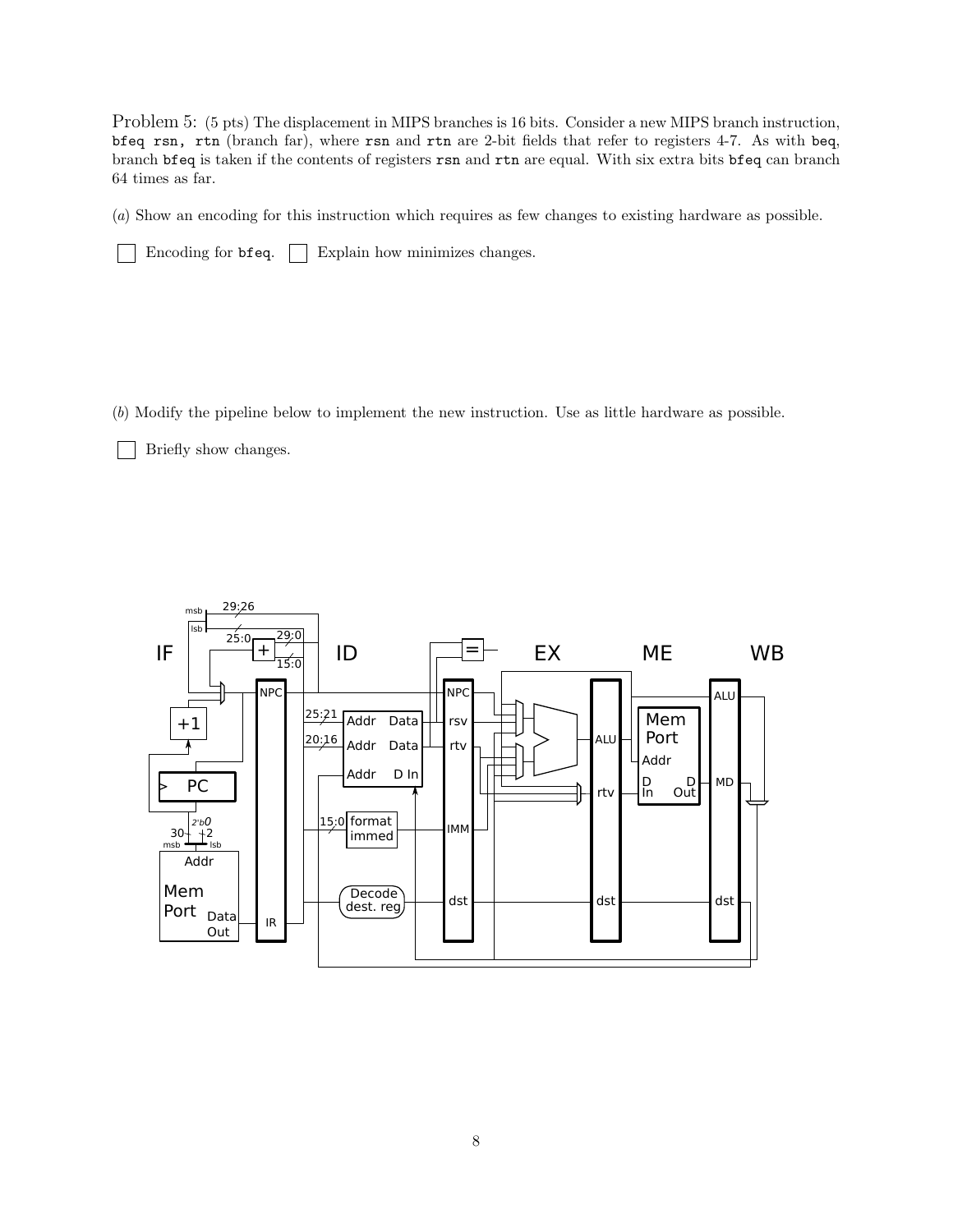Problem 5: (5 pts) The displacement in MIPS branches is 16 bits. Consider a new MIPS branch instruction, bfeq rsn, rtn (branch far), where rsn and rtn are 2-bit fields that refer to registers 4-7. As with beq, branch bfeq is taken if the contents of registers rsn and rtn are equal. With six extra bits bfeq can branch 64 times as far.

(a) Show an encoding for this instruction which requires as few changes to existing hardware as possible.

 $\Box$  Encoding for bfeq.  $\Box$  Explain how minimizes changes.

(b) Modify the pipeline below to implement the new instruction. Use as little hardware as possible.

**Briefly show changes.** 

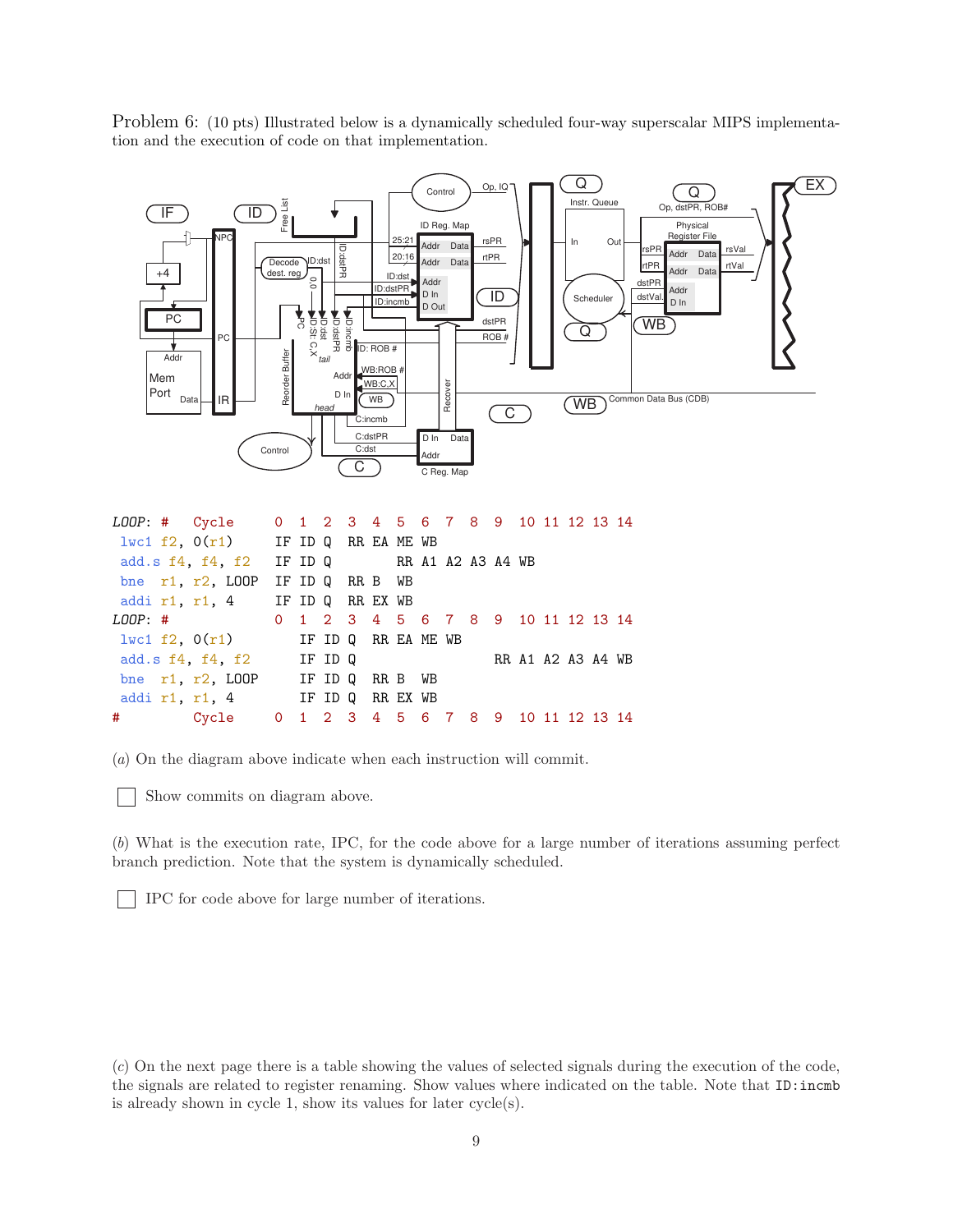Problem 6: (10 pts) Illustrated below is a dynamically scheduled four-way superscalar MIPS implementation and the execution of code on that implementation.



|  | LOOP: # Cycle 0 1 2 3 4 5 6 7 8 9 10 11 12 13 14 |                 |  |  |  |                   |  |  |  |  |
|--|--------------------------------------------------|-----------------|--|--|--|-------------------|--|--|--|--|
|  | $1\text{wcl } f2$ , $0(r1)$ IF ID Q RR EA ME WB  |                 |  |  |  |                   |  |  |  |  |
|  | add.s f4, f4, f2 IF ID Q RR A1 A2 A3 A4 WB       |                 |  |  |  |                   |  |  |  |  |
|  | bne $r1, r2, L00P$                               | IF ID Q RR B WB |  |  |  |                   |  |  |  |  |
|  | addir1, r1, 4 IF ID Q RR EX WB                   |                 |  |  |  |                   |  |  |  |  |
|  | LOOP: # 0 1 2 3 4 5 6 7 8 9 10 11 12 13 14       |                 |  |  |  |                   |  |  |  |  |
|  | $1\text{wcl } f2$ , $0(r1)$ IF ID Q RR EA ME WB  |                 |  |  |  |                   |  |  |  |  |
|  | add.s $f4$ , $f4$ , $f2$ IF ID Q                 |                 |  |  |  | RR A1 A2 A3 A4 WB |  |  |  |  |
|  | bne r1, r2, LOOP IF ID Q RR B WB                 |                 |  |  |  |                   |  |  |  |  |
|  | addi r1, r1, 4 IF ID Q RR EX WB                  |                 |  |  |  |                   |  |  |  |  |
|  | # Cycle 0 1 2 3 4 5 6 7 8 9 10 11 12 13 14       |                 |  |  |  |                   |  |  |  |  |

(a) On the diagram above indicate when each instruction will commit.

Show commits on diagram above.

(b) What is the execution rate, IPC, for the code above for a large number of iterations assuming perfect branch prediction. Note that the system is dynamically scheduled.

IPC for code above for large number of iterations.

(c) On the next page there is a table showing the values of selected signals during the execution of the code, the signals are related to register renaming. Show values where indicated on the table. Note that ID:incmb is already shown in cycle 1, show its values for later cycle(s).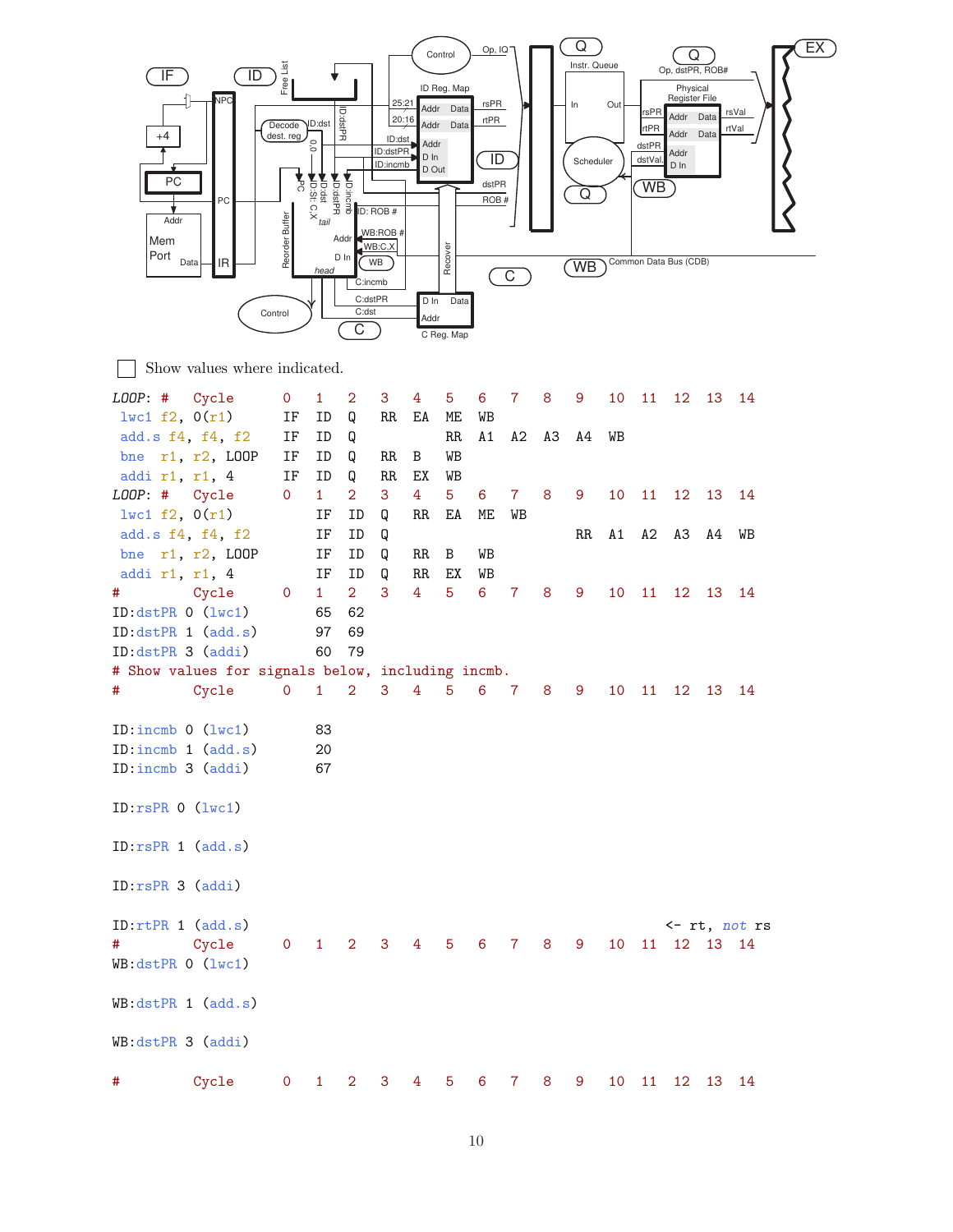

Show values where indicated.

| LOOP: # Cycle                                     |                    | 0                   | $\mathbf{1}$ | 2              | 3     | 4               | 5               | 6              | $\overline{7}$ | 8 | 9   | 10 | 11              | 12              | 13          | 14                      |
|---------------------------------------------------|--------------------|---------------------|--------------|----------------|-------|-----------------|-----------------|----------------|----------------|---|-----|----|-----------------|-----------------|-------------|-------------------------|
| 1wc1 f2, 0(r1)                                    |                    | IF                  | ID           | Q              | RR    | EA              | ME              | WB             |                |   |     |    |                 |                 |             |                         |
| add.s f4, f4, f2                                  |                    | $\operatorname{IF}$ | ID           | Q              |       |                 | $\rm RR$        | $\mathtt{A1}$  | A2 A3          |   | A4  | WВ |                 |                 |             |                         |
|                                                   | bne $r1, r2, LOOP$ | IF                  | ID           | Q              | RR.   | B               | WB              |                |                |   |     |    |                 |                 |             |                         |
| addi r1, r1, 4                                    |                    | $\operatorname{IF}$ | ID           | Q              | RR    | EX              | WB              |                |                |   |     |    |                 |                 |             |                         |
| LOOP: # Cycle                                     |                    | $\mathbf{O}$        | $\mathbf{1}$ | $\overline{2}$ | 3     | 4               | 5 <sup>5</sup>  | 6              | $7\phantom{.}$ | 8 | 9   | 10 | 11              | 12              | 13          | 14                      |
| $l$ wc1 f2, 0(r1)                                 |                    |                     | ΙF           | ID             | Q     | RR              | ΕA              | МE             | WB             |   |     |    |                 |                 |             |                         |
| add.s f4, f4, f2                                  |                    |                     | ΙF           | ID             | Q     |                 |                 |                |                |   | RR. | A1 | A2              | ΑЗ              | A4          | WB                      |
|                                                   | bne r1, r2, LOOP   |                     | IF           | ID             | Q     | RR.             | B               | WB             |                |   |     |    |                 |                 |             |                         |
| addi r1, r1, 4                                    |                    |                     | IF           | ID             | Q     | RR              | EХ              | WB             |                |   |     |    |                 |                 |             |                         |
| #                                                 | Cycle              | $\mathbf 0$         | $\mathbf{1}$ | 2 <sup>1</sup> | 3     | $\overline{4}$  | 5               | $6\phantom{1}$ | $\mathbf 7$    | 8 | 9   | 10 | 11              | 12 <sup>°</sup> | 13          | 14                      |
| ID:dstPR 0 (lwc1)                                 |                    |                     | 65           | 62             |       |                 |                 |                |                |   |     |    |                 |                 |             |                         |
| ID:dstPR 1 (add.s)                                |                    |                     | 97           | 69             |       |                 |                 |                |                |   |     |    |                 |                 |             |                         |
| ID:dstPR 3 (addi)                                 |                    |                     | 60           | 79             |       |                 |                 |                |                |   |     |    |                 |                 |             |                         |
| # Show values for signals below, including incmb. |                    |                     |              |                |       |                 |                 |                |                |   |     |    |                 |                 |             |                         |
| #                                                 | Cycle              | $\mathsf{O}$        | $1 -$        | $2^{\circ}$    | $3 -$ | $4\overline{ }$ | $5\phantom{.0}$ | $\overline{6}$ | $\overline{7}$ | 8 | 9   | 10 | 11              | 12              | 13          | 14                      |
|                                                   |                    |                     |              |                |       |                 |                 |                |                |   |     |    |                 |                 |             |                         |
| ID: incmb $0$ (lwc1)                              |                    |                     | 83           |                |       |                 |                 |                |                |   |     |    |                 |                 |             |                         |
| ID:incmb 1 (add.s)                                |                    |                     | 20           |                |       |                 |                 |                |                |   |     |    |                 |                 |             |                         |
| ID:incmb 3 (addi)                                 |                    |                     | 67           |                |       |                 |                 |                |                |   |     |    |                 |                 |             |                         |
|                                                   |                    |                     |              |                |       |                 |                 |                |                |   |     |    |                 |                 |             |                         |
| ID:rsPR 0 (lwc1)                                  |                    |                     |              |                |       |                 |                 |                |                |   |     |    |                 |                 |             |                         |
|                                                   |                    |                     |              |                |       |                 |                 |                |                |   |     |    |                 |                 |             |                         |
| ID:rsPR 1 (add.s)                                 |                    |                     |              |                |       |                 |                 |                |                |   |     |    |                 |                 |             |                         |
|                                                   |                    |                     |              |                |       |                 |                 |                |                |   |     |    |                 |                 |             |                         |
| ID:rsPR 3 (addi)                                  |                    |                     |              |                |       |                 |                 |                |                |   |     |    |                 |                 |             |                         |
|                                                   |                    |                     |              |                |       |                 |                 |                |                |   |     |    |                 |                 |             |                         |
| ID:rtPR 1 (add.s)                                 |                    |                     |              |                |       |                 |                 |                |                |   |     |    |                 |                 |             | $\leftarrow$ rt, not rs |
| #                                                 | Cycle              | $\mathbf 0$         | $\mathbf{1}$ | $\overline{2}$ | 3     | 4               | 5               | 6              | 7              | 8 | 9   | 10 |                 |                 | 11 12 13 14 |                         |
| $WB:dstPR$ 0 $(lwc1)$                             |                    |                     |              |                |       |                 |                 |                |                |   |     |    |                 |                 |             |                         |
|                                                   |                    |                     |              |                |       |                 |                 |                |                |   |     |    |                 |                 |             |                         |
| WB:dstPR 1 (add.s)                                |                    |                     |              |                |       |                 |                 |                |                |   |     |    |                 |                 |             |                         |
|                                                   |                    |                     |              |                |       |                 |                 |                |                |   |     |    |                 |                 |             |                         |
| WB:dstPR 3 (addi)                                 |                    |                     |              |                |       |                 |                 |                |                |   |     |    |                 |                 |             |                         |
|                                                   |                    |                     |              |                |       |                 |                 |                |                |   |     |    |                 |                 |             |                         |
| #                                                 | Cycle              | $\mathbf 0$         | $\mathbf{1}$ | $\overline{2}$ | 3     | 4               | 5               | 6              | 7              | 8 | 9   | 10 | 11 <sup>1</sup> | 12              | 13          | 14                      |
|                                                   |                    |                     |              |                |       |                 |                 |                |                |   |     |    |                 |                 |             |                         |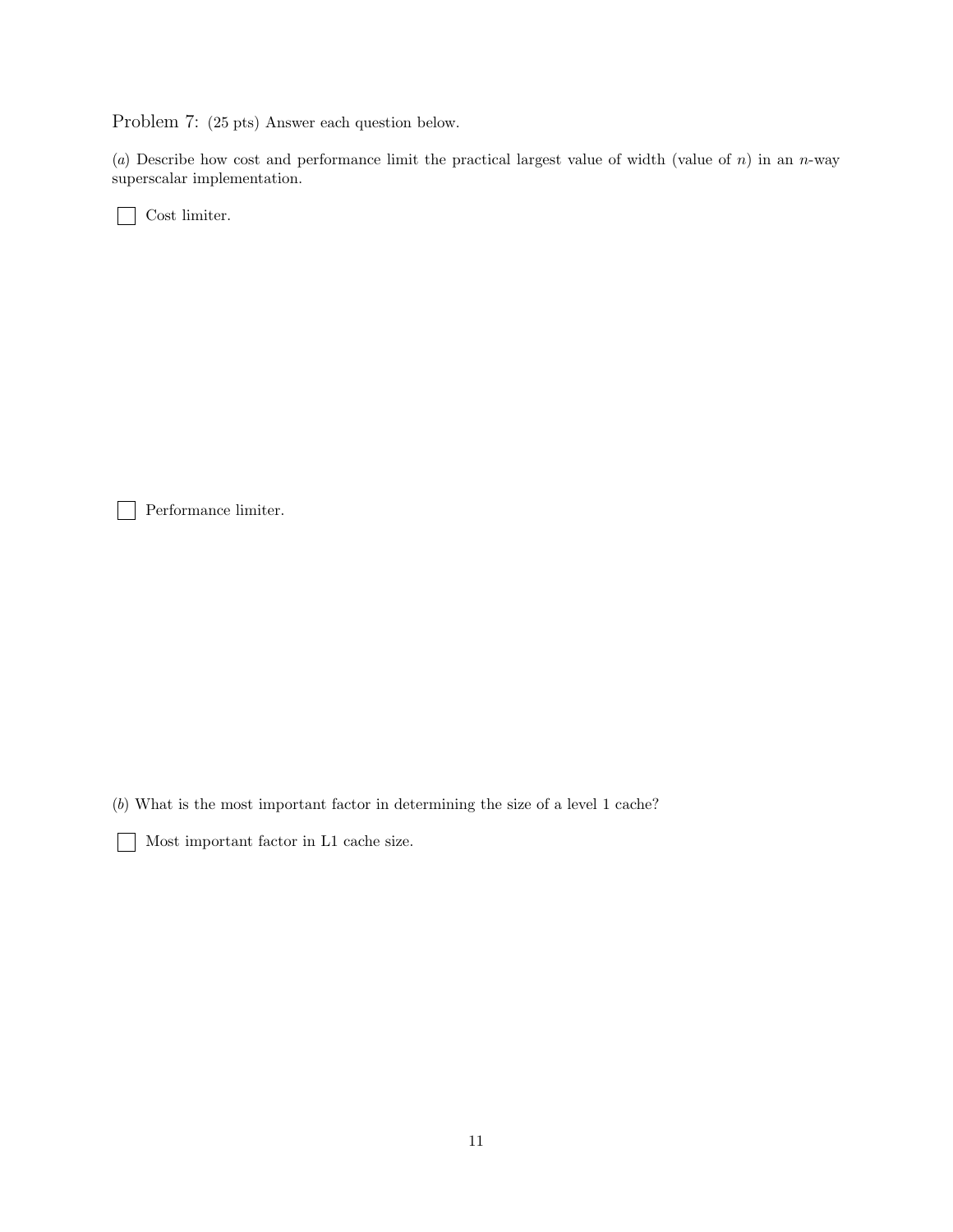Problem 7: (25 pts) Answer each question below.

(a) Describe how cost and performance limit the practical largest value of width (value of  $n$ ) in an n-way superscalar implementation.

Cost limiter.

Performance limiter.

 $\mathbf{L}$ 

(b) What is the most important factor in determining the size of a level 1 cache?

Most important factor in L1 cache size.